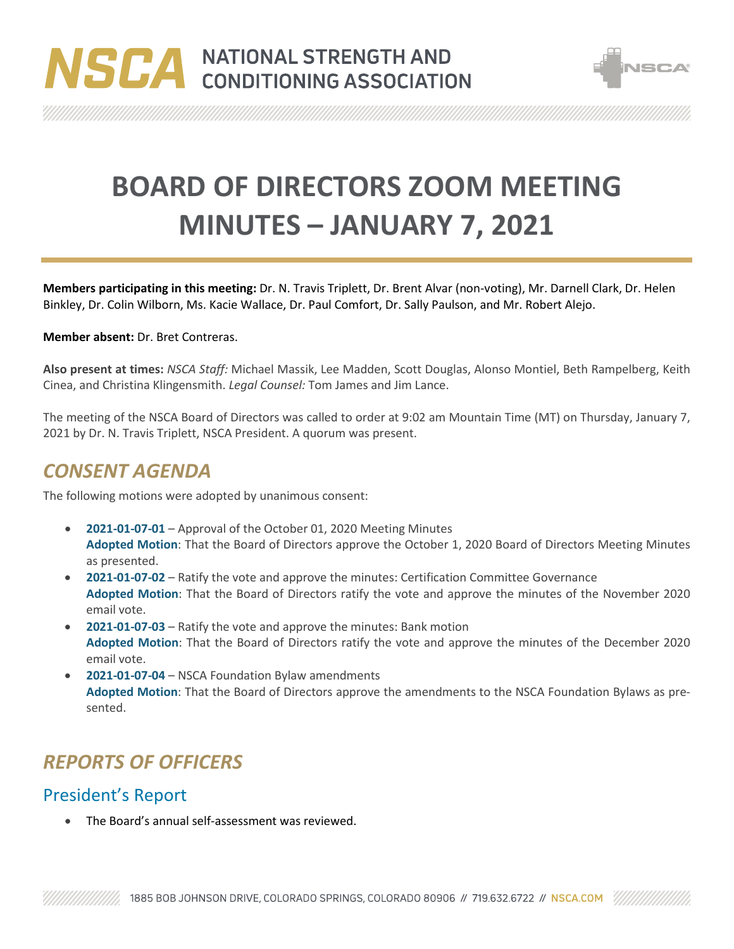



**BOARD OF DIRECTORS ZOOM MEETING MINUTES – JANUARY 7, 2021**

**Members participating in this meeting:** Dr. N. Travis Triplett, Dr. Brent Alvar (non-voting), Mr. Darnell Clark, Dr. Helen Binkley, Dr. Colin Wilborn, Ms. Kacie Wallace, Dr. Paul Comfort, Dr. Sally Paulson, and Mr. Robert Alejo.

#### **Member absent:** Dr. Bret Contreras.

**Also present at times:** *NSCA Staff:* Michael Massik, Lee Madden, Scott Douglas, Alonso Montiel, Beth Rampelberg, Keith Cinea, and Christina Klingensmith. *Legal Counsel:* Tom James and Jim Lance.

The meeting of the NSCA Board of Directors was called to order at 9:02 am Mountain Time (MT) on Thursday, January 7, 2021 by Dr. N. Travis Triplett, NSCA President. A quorum was present.

### *CONSENT AGENDA*

The following motions were adopted by unanimous consent:

- **2021-01-07-01** Approval of the October 01, 2020 Meeting Minutes **Adopted Motion**: That the Board of Directors approve the October 1, 2020 Board of Directors Meeting Minutes as presented.
- **2021-01-07-02** Ratify the vote and approve the minutes: Certification Committee Governance **Adopted Motion**: That the Board of Directors ratify the vote and approve the minutes of the November 2020 email vote.
- **2021-01-07-03** Ratify the vote and approve the minutes: Bank motion **Adopted Motion**: That the Board of Directors ratify the vote and approve the minutes of the December 2020 email vote.
- **2021-01-07-04** NSCA Foundation Bylaw amendments **Adopted Motion**: That the Board of Directors approve the amendments to the NSCA Foundation Bylaws as presented.

# *REPORTS OF OFFICERS*

#### President's Report

• The Board's annual self-assessment was reviewed.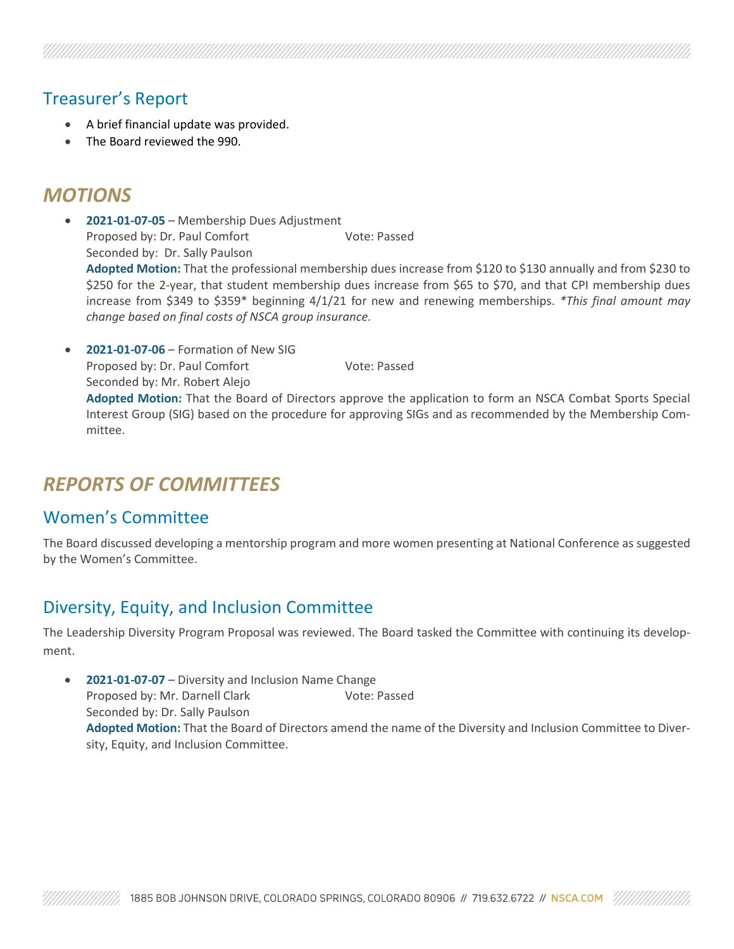#### Treasurer's Report

- A brief financial update was provided.
- The Board reviewed the 990.

## *MOTIONS*

- **2021-01-07-05** Membership Dues Adjustment Proposed by: Dr. Paul Comfort Vote: Passed Seconded by: Dr. Sally Paulson **Adopted Motion:** That the professional membership dues increase from \$120 to \$130 annually and from \$230 to \$250 for the 2-year, that student membership dues increase from \$65 to \$70, and that CPI membership dues increase from \$349 to \$359\* beginning 4/1/21 for new and renewing memberships. *\*This final amount may change based on final costs of NSCA group insurance.*
- **2021-01-07-06** Formation of New SIG Proposed by: Dr. Paul Comfort Vote: Passed Seconded by: Mr. Robert Alejo **Adopted Motion:** That the Board of Directors approve the application to form an NSCA Combat Sports Special Interest Group (SIG) based on the procedure for approving SIGs and as recommended by the Membership Committee.

## *REPORTS OF COMMITTEES*

#### Women's Committee

The Board discussed developing a mentorship program and more women presenting at National Conference as suggested by the Women's Committee.

#### Diversity, Equity, and Inclusion Committee

The Leadership Diversity Program Proposal was reviewed. The Board tasked the Committee with continuing its development.

• **2021-01-07-07** – Diversity and Inclusion Name Change Proposed by: Mr. Darnell Clark Vote: Passed Seconded by: Dr. Sally Paulson **Adopted Motion:** That the Board of Directors amend the name of the Diversity and Inclusion Committee to Diversity, Equity, and Inclusion Committee.